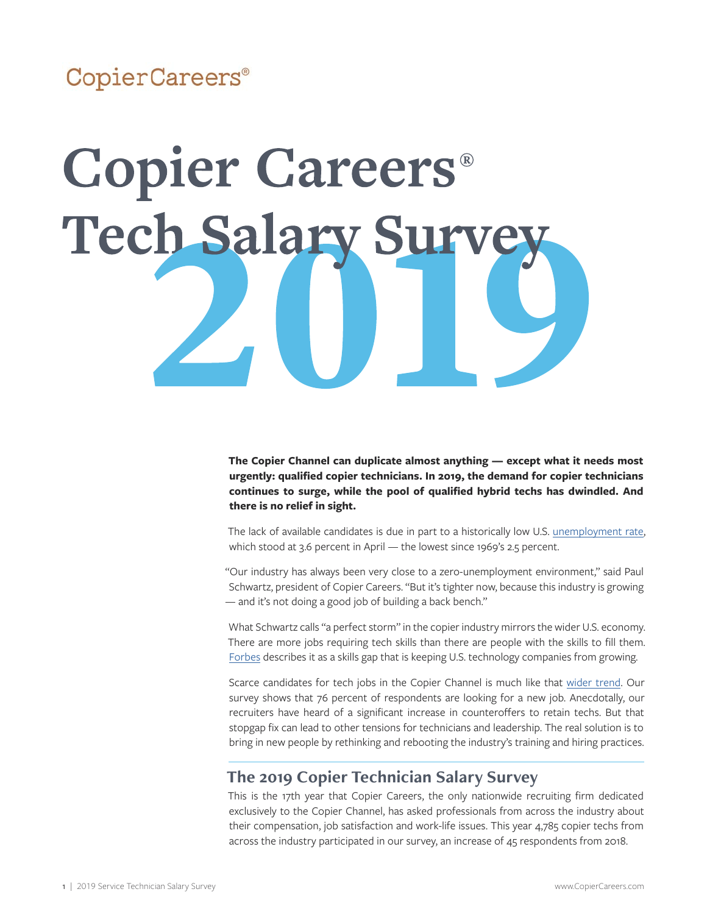### CopierCareers®

# **Copier Careers® Tech Salary Survey**

**The Copier Channel can duplicate almost anything — except what it needs most urgently: qualified copier technicians. In 2019, the demand for copier technicians continues to surge, while the pool of qualified hybrid techs has dwindled. And there is no relief in sight.**

The lack of available candidates is due in part to a historically low U.S. [unemployment rate](https://tradingeconomics.com/united-states/unemployment-rate), which stood at 3.6 percent in April — the lowest since 1969's 2.5 percent.

"Our industry has always been very close to a zero-unemployment environment," said Paul Schwartz, president of Copier Careers. "But it's tighter now, because this industry is growing — and it's not doing a good job of building a back bench."

What Schwartz calls "a perfect storm" in the copier industry mirrors the wider U.S. economy. There are more jobs requiring tech skills than there are people with the skills to fill them. [Forbes](https://www.forbes.com/sites/marcoannunziata/2019/02/20/skills-gap-myth-or-real-threat-to-competitiveness/#2e2125f630e3) describes it as a skills gap that is keeping U.S. technology companies from growing.

Scarce candidates for tech jobs in the Copier Channel is much like that [wider trend.](http://tcbmag.com/news/articles/2019/may/the-it-workforce-quandary?utm_source=SilverpopMailing&utm_medium=email&utm_campaign=050619_Unopened_TTRENDING%20(1)&utm_content=text_link&spMailingID=15621865&spUserID=MTMxNDI1OTYyODI5S0&spJobID=1640690010&spReportId=MTY0MDY5MDAxMAS2) Our survey shows that 76 percent of respondents are looking for a new job. Anecdotally, our recruiters have heard of a significant increase in counteroffers to retain techs. But that stopgap fix can lead to other tensions for technicians and leadership. The real solution is to bring in new people by rethinking and rebooting the industry's training and hiring practices.

#### **The 2019 Copier Technician Salary Survey**

This is the 17th year that Copier Careers, the only nationwide recruiting firm dedicated exclusively to the Copier Channel, has asked professionals from across the industry about their compensation, job satisfaction and work-life issues. This year 4,785 copier techs from across the industry participated in our survey, an increase of 45 respondents from 2018.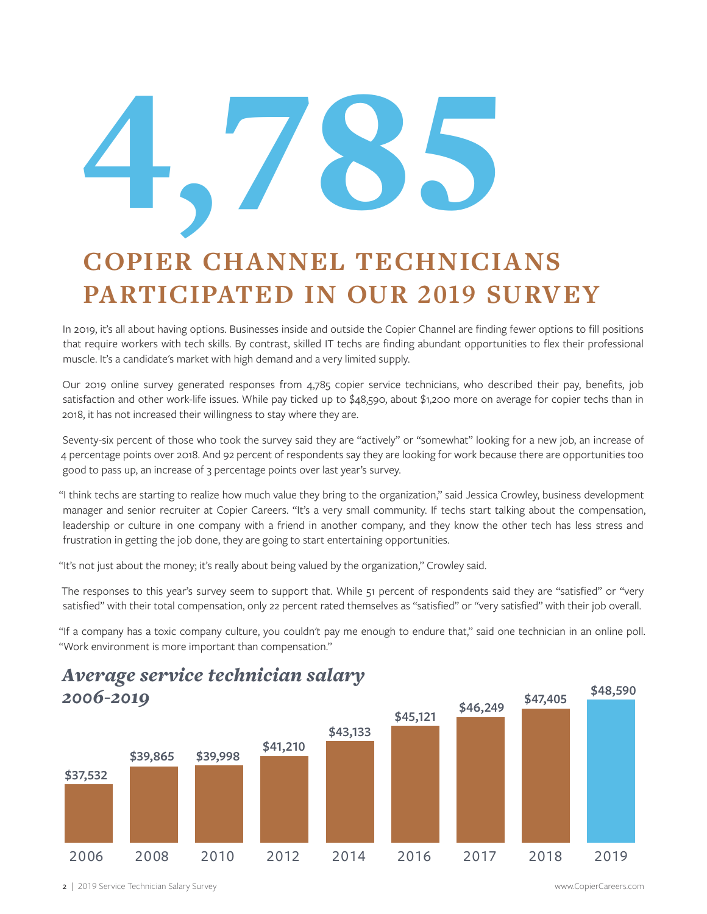# 4'785

# **COPIER CHANNEL TECHNICIANS PARTICIPATED IN OUR 2019 SURVEY**

In 2019, it's all about having options. Businesses inside and outside the Copier Channel are finding fewer options to fill positions that require workers with tech skills. By contrast, skilled IT techs are finding abundant opportunities to flex their professional muscle. It's a candidate's market with high demand and a very limited supply.

Our 2019 online survey generated responses from 4,785 copier service technicians, who described their pay, benefits, job satisfaction and other work-life issues. While pay ticked up to \$48,590, about \$1,200 more on average for copier techs than in 2018, it has not increased their willingness to stay where they are.

Seventy-six percent of those who took the survey said they are "actively" or "somewhat" looking for a new job, an increase of 4 percentage points over 2018. And 92 percent of respondents say they are looking for work because there are opportunities too good to pass up, an increase of 3 percentage points over last year's survey.

"I think techs are starting to realize how much value they bring to the organization," said Jessica Crowley, business development manager and senior recruiter at Copier Careers. "It's a very small community. If techs start talking about the compensation, leadership or culture in one company with a friend in another company, and they know the other tech has less stress and frustration in getting the job done, they are going to start entertaining opportunities.

"It's not just about the money; it's really about being valued by the organization," Crowley said.

The responses to this year's survey seem to support that. While 51 percent of respondents said they are "satisfied" or "very satisfied" with their total compensation, only 22 percent rated themselves as "satisfied" or "very satisfied" with their job overall.

"If a company has a toxic company culture, you couldn't pay me enough to endure that," said one technician in an online poll. "Work environment is more important than compensation."



*Average service technician salary* 

2 | 2019 Service Technician Salary Survey www.CopierCareers.com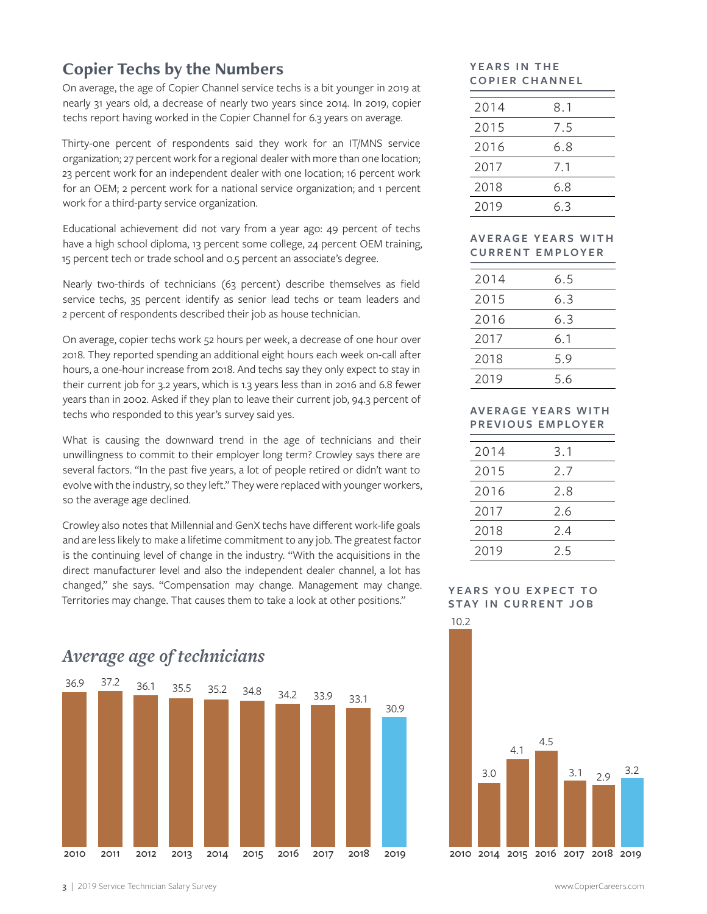#### **Copier Techs by the Numbers**

On average, the age of Copier Channel service techs is a bit younger in 2019 at nearly 31 years old, a decrease of nearly two years since 2014. In 2019, copier techs report having worked in the Copier Channel for 6.3 years on average.

Thirty-one percent of respondents said they work for an IT/MNS service organization; 27 percent work for a regional dealer with more than one location; 23 percent work for an independent dealer with one location; 16 percent work for an OEM; 2 percent work for a national service organization; and 1 percent work for a third-party service organization.

Educational achievement did not vary from a year ago: 49 percent of techs have a high school diploma, 13 percent some college, 24 percent OEM training, 15 percent tech or trade school and 0.5 percent an associate's degree.

Nearly two-thirds of technicians (63 percent) describe themselves as field service techs, 35 percent identify as senior lead techs or team leaders and 2 percent of respondents described their job as house technician.

On average, copier techs work 52 hours per week, a decrease of one hour over 2018. They reported spending an additional eight hours each week on-call after hours, a one-hour increase from 2018. And techs say they only expect to stay in their current job for 3.2 years, which is 1.3 years less than in 2016 and 6.8 fewer years than in 2002. Asked if they plan to leave their current job, 94.3 percent of techs who responded to this year's survey said yes.

What is causing the downward trend in the age of technicians and their unwillingness to commit to their employer long term? Crowley says there are several factors. "In the past five years, a lot of people retired or didn't want to evolve with the industry, so they left." They were replaced with younger workers, so the average age declined.

Crowley also notes that Millennial and GenX techs have different work-life goals and are less likely to make a lifetime commitment to any job. The greatest factor is the continuing level of change in the industry. "With the acquisitions in the direct manufacturer level and also the independent dealer channel, a lot has changed," she says. "Compensation may change. Management may change. Territories may change. That causes them to take a look at other positions."

# 2010 36.9 2011 37.2 36.1 35.5 35.2 34.8 34.2 33.9 33.1 30.9 2012 2013 2014 2015 2016 2017 2018 2019

#### YEARS IN THE **COPIER CHANNEL**

| 2014 | 8.1 |
|------|-----|
| 2015 | 7.5 |
| 2016 | 6.8 |
| 2017 | 7.1 |
| 2018 | 6.8 |
| 2019 | 6.3 |
|      |     |

#### **AV E R A G E Y E A R S W I T H CURRENT EMPLOYER**

| 2014 | 6.5 |
|------|-----|
| 2015 | 6.3 |
| 2016 | 6.3 |
| 2017 | 6.1 |
| 2018 | 5.9 |
| 2019 | 5.6 |

#### **AVERAGE YEARS WITH PREVIOUS EMPLOYER**

| 2014 | 3.1 |
|------|-----|
| 2015 | 2.7 |
| 2016 | 2.8 |
| 2017 | 2.6 |
| 2018 | 2.4 |
| 2019 | 25  |

#### **YEARS YOU EXPECT TO STAY IN CURRENT JOB**



#### *Average age of technicians*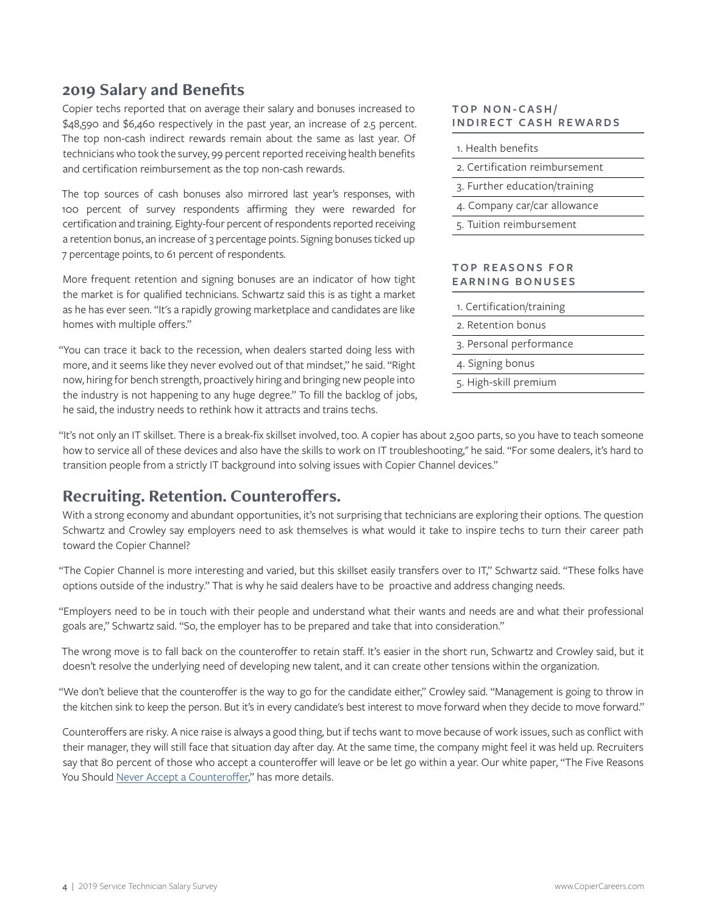#### **2019 Salary and Benefits**

Copier techs reported that on average their salary and bonuses increased to \$48,590 and \$6,460 respectively in the past year, an increase of 2.5 percent. The top non-cash indirect rewards remain about the same as last year. Of technicians who took the survey, 99 percent reported receiving health benefits and certification reimbursement as the top non-cash rewards.

The top sources of cash bonuses also mirrored last year's responses, with 100 percent of survey respondents affirming they were rewarded for certification and training. Eighty-four percent of respondents reported receiving a retention bonus, an increase of 3 percentage points. Signing bonuses ticked up 7 percentage points, to 61 percent of respondents.

More frequent retention and signing bonuses are an indicator of how tight the market is for qualified technicians. Schwartz said this is as tight a market as he has ever seen. "It's a rapidly growing marketplace and candidates are like homes with multiple offers."

"You can trace it back to the recession, when dealers started doing less with more, and it seems like they never evolved out of that mindset," he said. "Right now, hiring for bench strength, proactively hiring and bringing new people into the industry is not happening to any huge degree." To fill the backlog of jobs, he said, the industry needs to rethink how it attracts and trains techs.

#### **TOP NON-CASH/ INDIRECT CASH REWARDS**

| 1. Health benefits             |
|--------------------------------|
| 2. Certification reimbursement |
| 3. Further education/training  |
| 4. Company car/car allowance   |
| 5. Tuition reimbursement       |
|                                |

#### **TOP REASONS FOR EARNING BONUSES**

- 1. Certification/training
- 2. Retention bonus
- 3. Personal performance
- 4. Signing bonus
- 5. High-skill premium

"It's not only an IT skillset. There is a break-fix skillset involved, too. A copier has about 2,500 parts, so you have to teach someone how to service all of these devices and also have the skills to work on IT troubleshooting," he said. "For some dealers, it's hard to transition people from a strictly IT background into solving issues with Copier Channel devices."

#### **Recruiting. Retention. Counteroffers.**

With a strong economy and abundant opportunities, it's not surprising that technicians are exploring their options. The question Schwartz and Crowley say employers need to ask themselves is what would it take to inspire techs to turn their career path toward the Copier Channel?

"The Copier Channel is more interesting and varied, but this skillset easily transfers over to IT," Schwartz said. "These folks have options outside of the industry." That is why he said dealers have to be proactive and address changing needs.

"Employers need to be in touch with their people and understand what their wants and needs are and what their professional goals are," Schwartz said. "So, the employer has to be prepared and take that into consideration."

The wrong move is to fall back on the counteroffer to retain staff. It's easier in the short run, Schwartz and Crowley said, but it doesn't resolve the underlying need of developing new talent, and it can create other tensions within the organization.

"We don't believe that the counteroffer is the way to go for the candidate either," Crowley said. "Management is going to throw in the kitchen sink to keep the person. But it's in every candidate's best interest to move forward when they decide to move forward."

Counteroffers are risky. A nice raise is always a good thing, but if techs want to move because of work issues, such as conflict with their manager, they will still face that situation day after day. At the same time, the company might feel it was held up. Recruiters say that 80 percent of those who accept a counteroffer will leave or be let go within a year. Our white paper, "The Five Reasons You Should [Never Accept a Counteroffer](https://copiercareers.com/wp-content/uploads/sites/24/2016/10/2013-Counteroffer-white-paper.pdf)," has more details.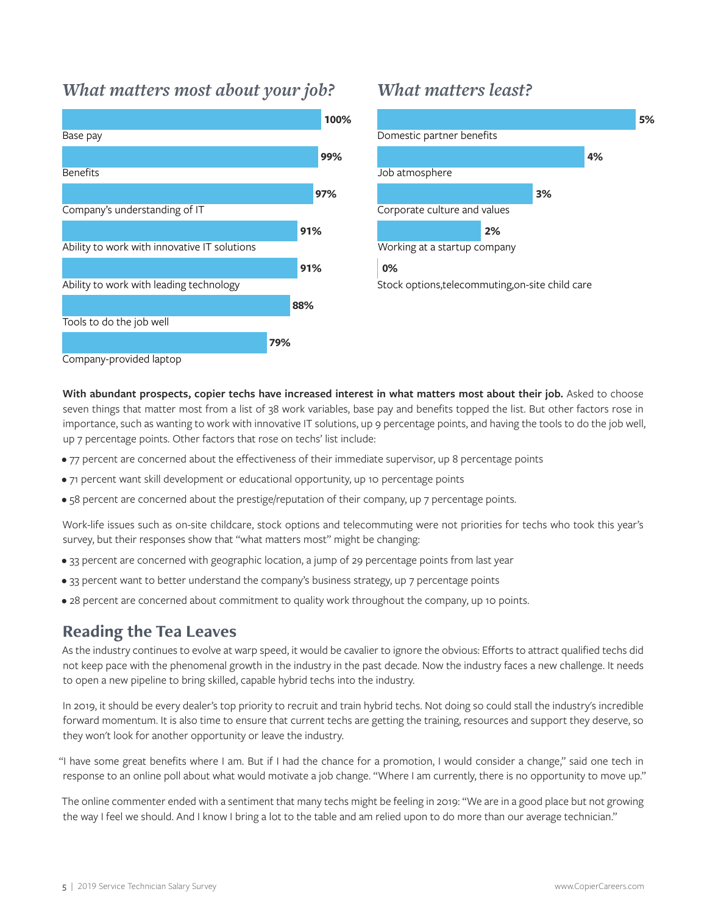#### *What matters most about your job?*



#### *What matters least?*



With abundant prospects, copier techs have increased interest in what matters most about their job. Asked to choose seven things that matter most from a list of 38 work variables, base pay and benefits topped the list. But other factors rose in importance, such as wanting to work with innovative IT solutions, up 9 percentage points, and having the tools to do the job well, up 7 percentage points. Other factors that rose on techs' list include:

- 77 percent are concerned about the effectiveness of their immediate supervisor, up 8 percentage points
- 71 percent want skill development or educational opportunity, up 10 percentage points
- 58 percent are concerned about the prestige/reputation of their company, up 7 percentage points.

Work-life issues such as on-site childcare, stock options and telecommuting were not priorities for techs who took this year's survey, but their responses show that "what matters most" might be changing:

- 33 percent are concerned with geographic location, a jump of 29 percentage points from last year
- 33 percent want to better understand the company's business strategy, up 7 percentage points
- 28 percent are concerned about commitment to quality work throughout the company, up 10 points.

#### **Reading the Tea Leaves**

As the industry continues to evolve at warp speed, it would be cavalier to ignore the obvious: Efforts to attract qualified techs did not keep pace with the phenomenal growth in the industry in the past decade. Now the industry faces a new challenge. It needs to open a new pipeline to bring skilled, capable hybrid techs into the industry.

In 2019, it should be every dealer's top priority to recruit and train hybrid techs. Not doing so could stall the industry's incredible forward momentum. It is also time to ensure that current techs are getting the training, resources and support they deserve, so they won't look for another opportunity or leave the industry.

"I have some great benefits where I am. But if I had the chance for a promotion, I would consider a change," said one tech in response to an online poll about what would motivate a job change. "Where I am currently, there is no opportunity to move up."

The online commenter ended with a sentiment that many techs might be feeling in 2019: "We are in a good place but not growing the way I feel we should. And I know I bring a lot to the table and am relied upon to do more than our average technician."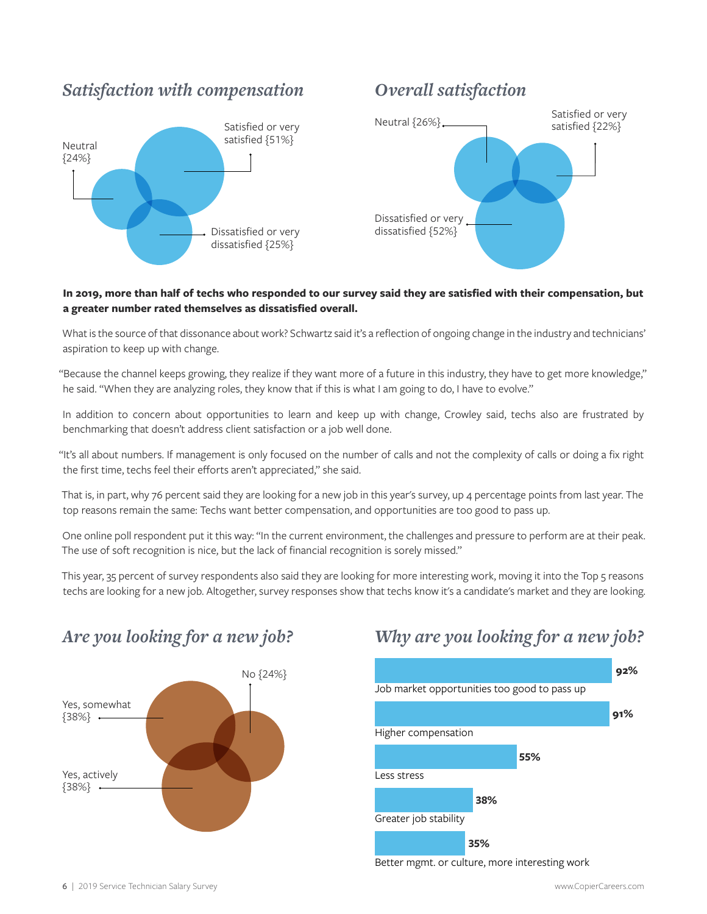#### Satisfied or very<br>
Neutral {26%}<br>
Satisfied {32%} satisfied {22%} Dissatisfied or very dissatisfied {52%} *Satisfaction with compensation Overall satisfaction* Neutral {24%} Satisfied or very satisfied {51%} Dissatisfied or very dissatisfied {25%}

#### **In 2019, more than half of techs who responded to our survey said they are satisfied with their compensation, but a greater number rated themselves as dissatisfied overall.**

What is the source of that dissonance about work? Schwartz said it's a reflection of ongoing change in the industry and technicians' aspiration to keep up with change.

"Because the channel keeps growing, they realize if they want more of a future in this industry, they have to get more knowledge," he said. "When they are analyzing roles, they know that if this is what I am going to do, I have to evolve."

In addition to concern about opportunities to learn and keep up with change, Crowley said, techs also are frustrated by benchmarking that doesn't address client satisfaction or a job well done.

"It's all about numbers. If management is only focused on the number of calls and not the complexity of calls or doing a fix right the first time, techs feel their efforts aren't appreciated," she said.

That is, in part, why 76 percent said they are looking for a new job in this year's survey, up 4 percentage points from last year. The top reasons remain the same: Techs want better compensation, and opportunities are too good to pass up.

One online poll respondent put it this way: "In the current environment, the challenges and pressure to perform are at their peak. The use of soft recognition is nice, but the lack of financial recognition is sorely missed."

This year, 35 percent of survey respondents also said they are looking for more interesting work, moving it into the Top 5 reasons techs are looking for a new job. Altogether, survey responses show that techs know it's a candidate's market and they are looking.



#### *Are you looking for a new job? Why are you looking for a new job?*



Better mgmt. or culture, more interesting work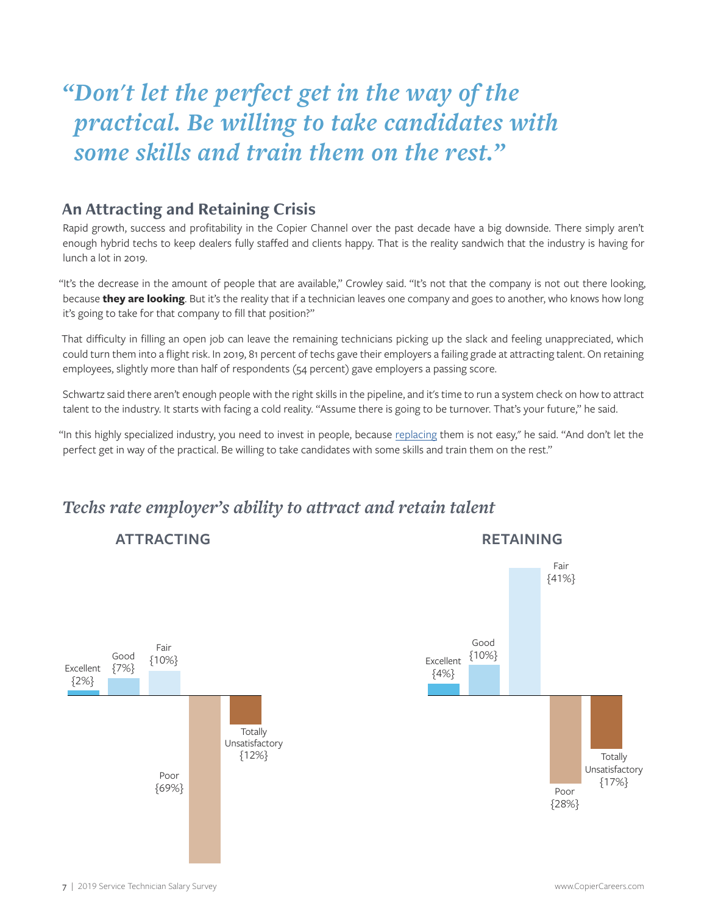## *"Don't let the perfect get in the way of the practical. Be willing to take candidates with some skills and train them on the rest."*

#### **An Attracting and Retaining Crisis**

Rapid growth, success and profitability in the Copier Channel over the past decade have a big downside. There simply aren't enough hybrid techs to keep dealers fully staffed and clients happy. That is the reality sandwich that the industry is having for lunch a lot in 2019.

"It's the decrease in the amount of people that are available," Crowley said. "It's not that the company is not out there looking, because **they are looking**. But it's the reality that if a technician leaves one company and goes to another, who knows how long it's going to take for that company to fill that position?"

That difficulty in filling an open job can leave the remaining technicians picking up the slack and feeling unappreciated, which could turn them into a flight risk. In 2019, 81 percent of techs gave their employers a failing grade at attracting talent. On retaining employees, slightly more than half of respondents (54 percent) gave employers a passing score.

Schwartz said there aren't enough people with the right skills in the pipeline, and it's time to run a system check on how to attract talent to the industry. It starts with facing a cold reality. "Assume there is going to be turnover. That's your future," he said.

"In this highly specialized industry, you need to invest in people, because [replacing](https://copiercareers.com/copier-channel/white-papers/short-staff-blues-costs-waiting-hire/) them is not easy," he said. "And don't let the perfect get in way of the practical. Be willing to take candidates with some skills and train them on the rest."

#### *Techs rate employer's ability to attract and retain talent*